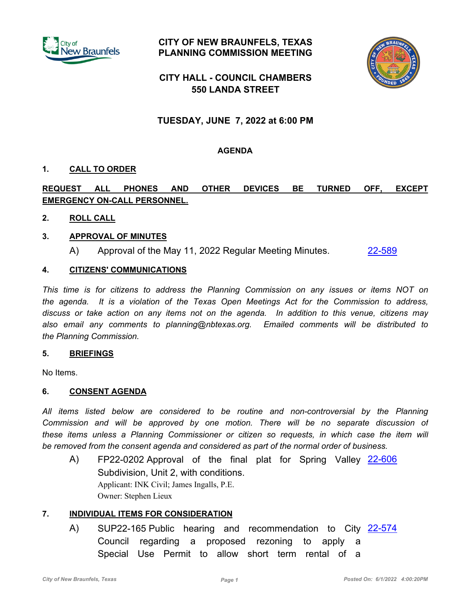

**CITY OF NEW BRAUNFELS, TEXAS PLANNING COMMISSION MEETING**



# **CITY HALL - COUNCIL CHAMBERS 550 LANDA STREET**

# **TUESDAY, JUNE 7, 2022 at 6:00 PM**

## **AGENDA**

## **1. CALL TO ORDER**

## **REQUEST ALL PHONES AND OTHER DEVICES BE TURNED OFF, EXCEPT EMERGENCY ON-CALL PERSONNEL.**

## **2. ROLL CALL**

## **3. APPROVAL OF MINUTES**

A) Approval of the May 11, 2022 Regular Meeting Minutes. [22-589](http://newbraunfels.legistar.com/gateway.aspx?m=l&id=/matter.aspx?key=10602)

## **4. CITIZENS' COMMUNICATIONS**

*This time is for citizens to address the Planning Commission on any issues or items NOT on the agenda. It is a violation of the Texas Open Meetings Act for the Commission to address, discuss or take action on any items not on the agenda. In addition to this venue, citizens may also email any comments to planning@nbtexas.org. Emailed comments will be distributed to the Planning Commission.*

#### **5. BRIEFINGS**

No Items.

#### **6. CONSENT AGENDA**

*All items listed below are considered to be routine and non-controversial by the Planning Commission and will be approved by one motion. There will be no separate discussion of these items unless a Planning Commissioner or citizen so requests, in which case the item will be removed from the consent agenda and considered as part of the normal order of business.*

A) FP22-0202 Approval of the final plat for Spring Valley [22-606](http://newbraunfels.legistar.com/gateway.aspx?m=l&id=/matter.aspx?key=10619) Subdivision, Unit 2, with conditions. Applicant: INK Civil; James Ingalls, P.E. Owner: Stephen Lieux

#### **7. INDIVIDUAL ITEMS FOR CONSIDERATION**

A) SUP22-165 Public hearing and recommendation to City [22-574](http://newbraunfels.legistar.com/gateway.aspx?m=l&id=/matter.aspx?key=10587) Council regarding a proposed rezoning to apply a Special Use Permit to allow short term rental of a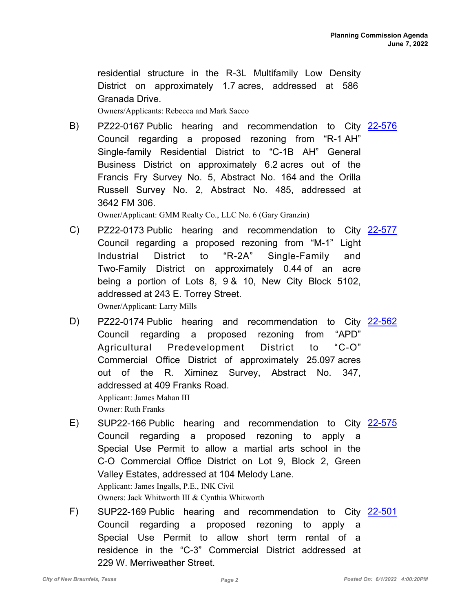residential structure in the R-3L Multifamily Low Density District on approximately 1.7 acres, addressed at 586 Granada Drive.

Owners/Applicants: Rebecca and Mark Sacco

B) PZ22-0167 Public hearing and recommendation to City [22-576](http://newbraunfels.legistar.com/gateway.aspx?m=l&id=/matter.aspx?key=10589) Council regarding a proposed rezoning from "R-1 AH" Single-family Residential District to "C-1B AH" General Business District on approximately 6.2 acres out of the Francis Fry Survey No. 5, Abstract No. 164 and the Orilla Russell Survey No. 2, Abstract No. 485, addressed at 3642 FM 306.

Owner/Applicant: GMM Realty Co., LLC No. 6 (Gary Granzin)

- C) PZ22-0173 Public hearing and recommendation to City [22-577](http://newbraunfels.legistar.com/gateway.aspx?m=l&id=/matter.aspx?key=10590) Council regarding a proposed rezoning from "M-1" Light Industrial District to "R-2A" Single-Family and Two-Family District on approximately 0.44 of an acre being a portion of Lots 8, 9 & 10, New City Block 5102, addressed at 243 E. Torrey Street. Owner/Applicant: Larry Mills
- D) PZ22-0174 Public hearing and recommendation to City [22-562](http://newbraunfels.legistar.com/gateway.aspx?m=l&id=/matter.aspx?key=10575) Council regarding a proposed rezoning from "APD" Agricultural Predevelopment District to "C-O" Commercial Office District of approximately 25.097 acres out of the R. Ximinez Survey, Abstract No. 347, addressed at 409 Franks Road. Applicant: James Mahan III

Owner: Ruth Franks

- E) SUP22-166 Public hearing and recommendation to City [22-575](http://newbraunfels.legistar.com/gateway.aspx?m=l&id=/matter.aspx?key=10588) Council regarding a proposed rezoning to apply a Special Use Permit to allow a martial arts school in the C-O Commercial Office District on Lot 9, Block 2, Green Valley Estates, addressed at 104 Melody Lane. Applicant: James Ingalls, P.E., INK Civil Owners: Jack Whitworth III & Cynthia Whitworth
- F) SUP22-169 Public hearing and recommendation to City [22-501](http://newbraunfels.legistar.com/gateway.aspx?m=l&id=/matter.aspx?key=10514) Council regarding a proposed rezoning to apply a Special Use Permit to allow short term rental of a residence in the "C-3" Commercial District addressed at 229 W. Merriweather Street.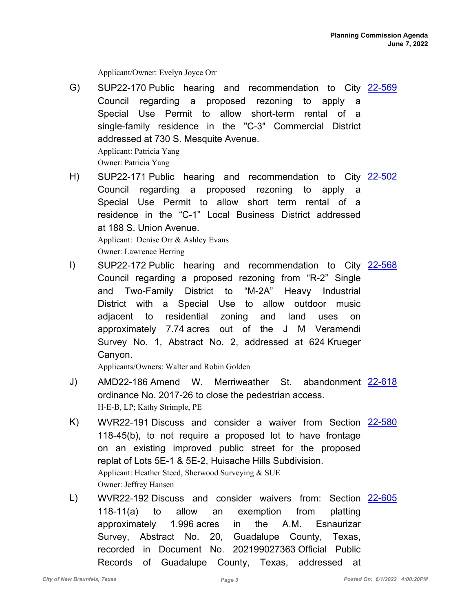Applicant/Owner: Evelyn Joyce Orr

- G) SUP22-170 Public hearing and recommendation to City [22-569](http://newbraunfels.legistar.com/gateway.aspx?m=l&id=/matter.aspx?key=10582) Council regarding a proposed rezoning to apply a Special Use Permit to allow short-term rental of a single-family residence in the "C-3" Commercial District addressed at 730 S. Mesquite Avenue. Applicant: Patricia Yang Owner: Patricia Yang
- H) SUP22-171 Public hearing and recommendation to City [22-502](http://newbraunfels.legistar.com/gateway.aspx?m=l&id=/matter.aspx?key=10515) Council regarding a proposed rezoning to apply a Special Use Permit to allow short term rental of a residence in the "C-1" Local Business District addressed at 188 S. Union Avenue. Applicant: Denise Orr & Ashley Evans Owner: Lawrence Herring
- I) SUP22-172 Public hearing and recommendation to City [22-568](http://newbraunfels.legistar.com/gateway.aspx?m=l&id=/matter.aspx?key=10581) Council regarding a proposed rezoning from "R-2" Single and Two-Family District to "M-2A" Heavy Industrial District with a Special Use to allow outdoor music adjacent to residential zoning and land uses on approximately 7.74 acres out of the J M Veramendi Survey No. 1, Abstract No. 2, addressed at 624 Krueger Canyon.

Applicants/Owners: Walter and Robin Golden

- J) AMD22-186 Amend W. Merriweather St. abandonment [22-618](http://newbraunfels.legistar.com/gateway.aspx?m=l&id=/matter.aspx?key=10631) ordinance No. 2017-26 to close the pedestrian access. H-E-B, LP; Kathy Strimple, PE
- K) WVR22-191 Discuss and consider a waiver from Section [22-580](http://newbraunfels.legistar.com/gateway.aspx?m=l&id=/matter.aspx?key=10593) 118-45(b), to not require a proposed lot to have frontage on an existing improved public street for the proposed replat of Lots 5E-1 & 5E-2, Huisache Hills Subdivision. Applicant: Heather Steed, Sherwood Surveying & SUE Owner: Jeffrey Hansen
- WVR22-192 Discuss and consider waivers from: Section L) [22-605](http://newbraunfels.legistar.com/gateway.aspx?m=l&id=/matter.aspx?key=10618) 118-11(a) to allow an exemption from platting approximately 1.996 acres in the A.M. Esnaurizar Survey, Abstract No. 20, Guadalupe County, Texas, recorded in Document No. 202199027363 Official Public Records of Guadalupe County, Texas, addressed at